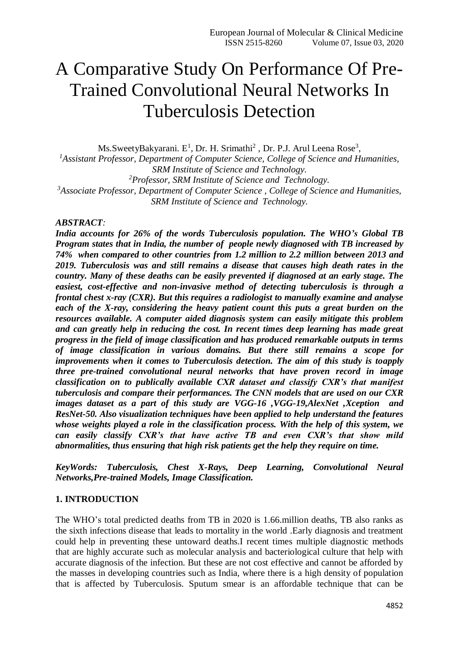# A Comparative Study On Performance Of Pre-Trained Convolutional Neural Networks In Tuberculosis Detection

Ms.SweetyBakyarani. E<sup>1</sup>, Dr. H. Srimathi<sup>2</sup>, Dr. P.J. Arul Leena Rose<sup>3</sup>, *<sup>1</sup>Assistant Professor, Department of Computer Science, College of Science and Humanities, SRM Institute of Science and Technology. <sup>2</sup>Professor, SRM Institute of Science and Technology. <sup>3</sup>Associate Professor, Department of Computer Science , College of Science and Humanities, SRM Institute of Science and Technology.*

#### *ABSTRACT:*

*India accounts for 26% of the words Tuberculosis population. The WHO's Global TB Program states that in India, the number of people newly diagnosed with TB increased by 74% when compared to other countries from 1.2 million to 2.2 million between 2013 and 2019. Tuberculosis was and still remains a disease that causes high death rates in the country. Many of these deaths can be easily prevented if diagnosed at an early stage. The easiest, cost-effective and non-invasive method of detecting tuberculosis is through a frontal chest x-ray (CXR). But this requires a radiologist to manually examine and analyse each of the X-ray, considering the heavy patient count this puts a great burden on the resources available. A computer aided diagnosis system can easily mitigate this problem and can greatly help in reducing the cost. In recent times deep learning has made great progress in the field of image classification and has produced remarkable outputs in terms of image classification in various domains. But there still remains a scope for improvements when it comes to Tuberculosis detection. The aim of this study is toapply three pre-trained convolutional neural networks that have proven record in image classification on to publically available CXR dataset and classify CXR's that manifest tuberculosis and compare their performances. The CNN models that are used on our CXR images dataset as a part of this study are VGG-16 ,VGG-19,AlexNet ,Xception and ResNet-50. Also visualization techniques have been applied to help understand the features whose weights played a role in the classification process. With the help of this system, we can easily classify CXR's that have active TB and even CXR's that show mild abnormalities, thus ensuring that high risk patients get the help they require on time.*

*KeyWords: Tuberculosis, Chest X-Rays, Deep Learning, Convolutional Neural Networks,Pre-trained Models, Image Classification.*

#### **1. INTRODUCTION**

The WHO's total predicted deaths from TB in 2020 is 1.66.million deaths, TB also ranks as the sixth infections disease that leads to mortality in the world .Early diagnosis and treatment could help in preventing these untoward deaths.I recent times multiple diagnostic methods that are highly accurate such as molecular analysis and bacteriological culture that help with accurate diagnosis of the infection. But these are not cost effective and cannot be afforded by the masses in developing countries such as India, where there is a high density of population that is affected by Tuberculosis. Sputum smear is an affordable technique that can be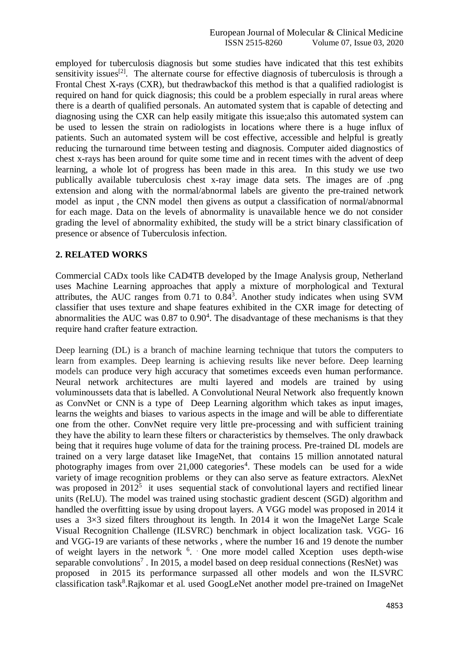employed for tuberculosis diagnosis but some studies have indicated that this test exhibits sensitivity issues<sup>[2]</sup>. The alternate course for effective diagnosis of tuberculosis is through a Frontal Chest X-rays (CXR), but thedrawbackof this method is that a qualified radiologist is required on hand for quick diagnosis; this could be a problem especially in rural areas where there is a dearth of qualified personals. An automated system that is capable of detecting and diagnosing using the CXR can help easily mitigate this issue;also this automated system can be used to lessen the strain on radiologists in locations where there is a huge influx of patients. Such an automated system will be cost effective, accessible and helpful is greatly reducing the turnaround time between testing and diagnosis. Computer aided diagnostics of chest x-rays has been around for quite some time and in recent times with the advent of deep learning, a whole lot of progress has been made in this area. In this study we use two publically available tuberculosis chest x-ray image data sets. The images are of .png extension and along with the normal/abnormal labels are givento the pre-trained network model as input , the CNN model then givens as output a classification of normal/abnormal for each mage. Data on the levels of abnormality is unavailable hence we do not consider grading the level of abnormality exhibited, the study will be a strict binary classification of presence or absence of Tuberculosis infection.

## **2. RELATED WORKS**

Commercial CADx tools like CAD4TB developed by the Image Analysis group, Netherland uses Machine Learning approaches that apply a mixture of morphological and Textural attributes, the AUC ranges from  $0.71$  to  $0.84<sup>3</sup>$ . Another study indicates when using SVM classifier that uses texture and shape features exhibited in the CXR image for detecting of abnormalities the AUC was  $0.87$  to  $0.90<sup>4</sup>$ . The disadvantage of these mechanisms is that they require hand crafter feature extraction.

Deep learning (DL) is a branch of machine learning technique that tutors the computers to learn from examples. Deep learning is achieving results like never before. Deep learning models can produce very high accuracy that sometimes exceeds even human performance. Neural network architectures are multi layered and models are trained by using voluminoussets data that is labelled. A Convolutional Neural Network also frequently known as ConvNet or CNN is a type of Deep Learning algorithm which takes as input images, learns the weights and biases to various aspects in the image and will be able to differentiate one from the other. ConvNet require very little pre-processing and with sufficient training they have the ability to learn these filters or characteristics by themselves. The only drawback being that it requires huge volume of data for the training process. Pre-trained DL models are trained on a very large dataset like ImageNet, that contains 15 million annotated natural photography images from over  $21,000$  categories<sup>4</sup>. These models can be used for a wide variety of image recognition problems or they can also serve as feature extractors. AlexNet was proposed in  $2012^5$  it uses sequential stack of convolutional layers and rectified linear units (ReLU). The model was trained using stochastic gradient descent (SGD) algorithm and handled the overfitting issue by using dropout layers. A VGG model was proposed in 2014 it uses a  $3\times3$  sized filters throughout its length. In 2014 it won the ImageNet Large Scale Visual Recognition Challenge (ILSVRC) benchmark in object localization task. VGG- 16 and VGG-19 are variants of these networks , where the number 16 and 19 denote the number of weight layers in the network  $6$ . One more model called Xception uses depth-wise separable convolutions<sup>7</sup>. In 2015, a model based on deep residual connections (ResNet) was proposed in 2015 its performance surpassed all other models and won the ILSVRC classification task<sup>8</sup>.Rajkomar et al. used GoogLeNet another model pre-trained on ImageNet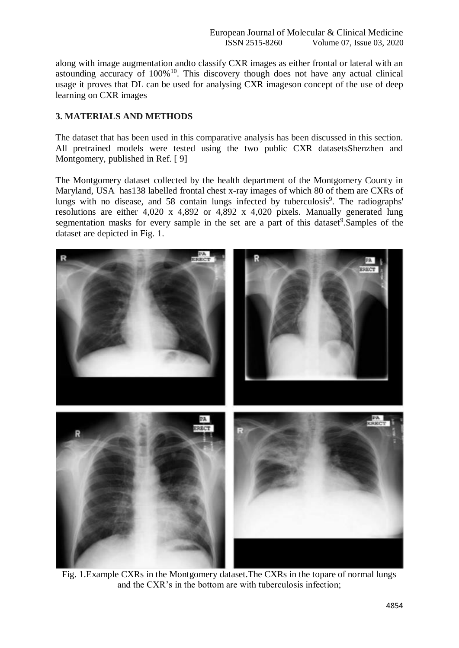along with image augmentation andto classify CXR images as either frontal or lateral with an astounding accuracy of  $100\%$ <sup>10</sup>. This discovery though does not have any actual clinical usage it proves that DL can be used for analysing CXR imageson concept of the use of deep learning on CXR images

# **3. MATERIALS AND METHODS**

The dataset that has been used in this comparative analysis has been discussed in this section. All pretrained models were tested using the two public CXR datasetsShenzhen and Montgomery, published in Ref. [9]

The Montgomery dataset collected by the health department of the Montgomery County in Maryland, USA has138 labelled frontal chest x-ray images of which 80 of them are CXRs of lungs with no disease, and 58 contain lungs infected by tuberculosis<sup>9</sup>. The radiographs' resolutions are either 4,020 x 4,892 or 4,892 x 4,020 pixels. Manually generated lung segmentation masks for every sample in the set are a part of this dataset<sup>9</sup>. Samples of the dataset are depicted in Fig. 1.



Fig. 1.Example CXRs in the Montgomery dataset.The CXRs in the topare of normal lungs and the CXR's in the bottom are with tuberculosis infection;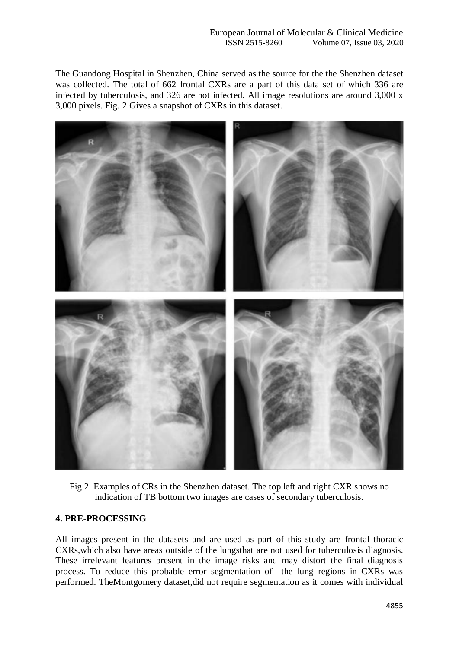The Guandong Hospital in Shenzhen, China served as the source for the the Shenzhen dataset was collected. The total of 662 frontal CXRs are a part of this data set of which 336 are infected by tuberculosis, and 326 are not infected. All image resolutions are around 3,000 x 3,000 pixels. Fig. 2 Gives a snapshot of CXRs in this dataset.



Fig.2. Examples of CRs in the Shenzhen dataset. The top left and right CXR shows no indication of TB bottom two images are cases of secondary tuberculosis.

## **4. PRE-PROCESSING**

All images present in the datasets and are used as part of this study are frontal thoracic CXRs,which also have areas outside of the lungsthat are not used for tuberculosis diagnosis. These irrelevant features present in the image risks and may distort the final diagnosis process. To reduce this probable error segmentation of the lung regions in CXRs was performed. TheMontgomery dataset,did not require segmentation as it comes with individual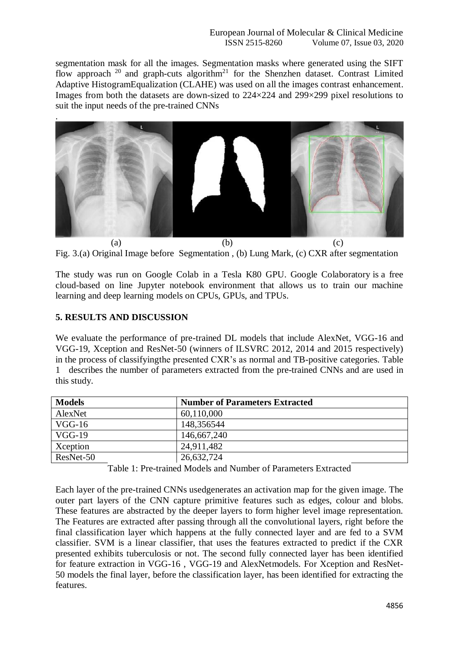segmentation mask for all the images. Segmentation masks where generated using the SIFT flow approach  $20$  and graph-cuts algorithm<sup>21</sup> for the Shenzhen dataset. Contrast Limited Adaptive HistogramEqualization (CLAHE) was used on all the images contrast enhancement. Images from both the datasets are down-sized to 224×224 and 299×299 pixel resolutions to suit the input needs of the pre-trained CNNs



Fig. 3.(a) Original Image before Segmentation , (b) Lung Mark, (c) CXR after segmentation

The study was run on Google Colab in a Tesla K80 GPU. Google Colaboratory is a free cloud-based on line Jupyter notebook environment that allows us to train our machine learning and deep learning models on CPUs, GPUs, and TPUs.

## **5. RESULTS AND DISCUSSION**

We evaluate the performance of pre-trained DL models that include AlexNet, VGG-16 and VGG-19, Xception and ResNet-50 (winners of ILSVRC 2012, 2014 and 2015 respectively) in the process of classifyingthe presented CXR's as normal and TB-positive categories. Table 1 describes the number of parameters extracted from the pre-trained CNNs and are used in this study.

| <b>Models</b> | <b>Number of Parameters Extracted</b> |
|---------------|---------------------------------------|
| AlexNet       | 60,110,000                            |
| VGG-16        | 148,356544                            |
| $VGG-19$      | 146,667,240                           |
| Xception      | 24,911,482                            |
| ResNet-50     | 26,632,724                            |

Table 1: Pre-trained Models and Number of Parameters Extracted

Each layer of the pre-trained CNNs usedgenerates an activation map for the given image. The outer part layers of the CNN capture primitive features such as edges, colour and blobs. These features are abstracted by the deeper layers to form higher level image representation. The Features are extracted after passing through all the convolutional layers, right before the final classification layer which happens at the fully connected layer and are fed to a SVM classifier. SVM is a linear classifier, that uses the features extracted to predict if the CXR presented exhibits tuberculosis or not. The second fully connected layer has been identified for feature extraction in VGG-16 , VGG-19 and AlexNetmodels. For Xception and ResNet-50 models the final layer, before the classification layer, has been identified for extracting the features.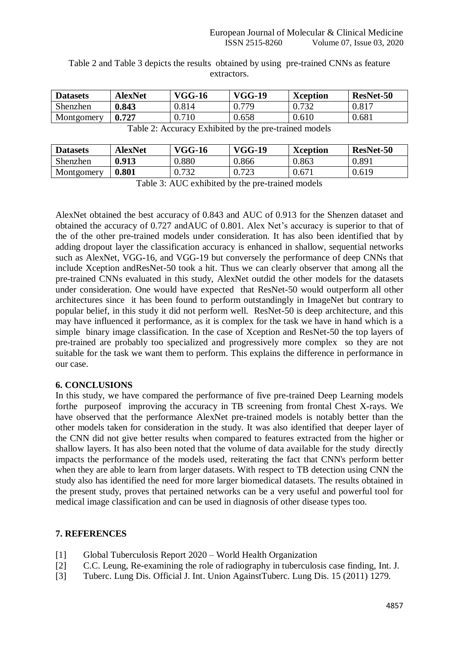| <b>Datasets</b> | <b>AlexNet</b> | <b>VGG-16</b> | <b>VGG-19</b> | <b>Xception</b> | <b>ResNet-50</b> |
|-----------------|----------------|---------------|---------------|-----------------|------------------|
| Shenzhen        | 0.843          | 0.814         | 779           | 0.732           | 0.817            |
| Montgomery      | 0.727          | 0.710         | 0.658         | 0.610           | 0.681            |

Table 2 and Table 3 depicts the results obtained by using pre-trained CNNs as feature extractors.

Table 2: Accuracy Exhibited by the pre-trained models

| <b>Datasets</b> | <b>AlexNet</b>       | <b>VGG-16</b> | <b>VGG-19</b> | <b>Xception</b> | ResNet-50 |
|-----------------|----------------------|---------------|---------------|-----------------|-----------|
| Shenzhen        | 0.913                | 0.880         | 0.866         | 0.863           | 0.891     |
| Montgomery      | $\boldsymbol{0.801}$ | 0.732         | 0.723         | 0.671           | 0.619     |
|                 |                      |               |               |                 |           |

Table 3: AUC exhibited by the pre-trained models

AlexNet obtained the best accuracy of 0.843 and AUC of 0.913 for the Shenzen dataset and obtained the accuracy of 0.727 andAUC of 0.801. Alex Net's accuracy is superior to that of the of the other pre-trained models under consideration. It has also been identified that by adding dropout layer the classification accuracy is enhanced in shallow, sequential networks such as AlexNet, VGG-16, and VGG-19 but conversely the performance of deep CNNs that include Xception andResNet-50 took a hit. Thus we can clearly observer that among all the pre-trained CNNs evaluated in this study, AlexNet outdid the other models for the datasets under consideration. One would have expected that ResNet-50 would outperform all other architectures since it has been found to perform outstandingly in ImageNet but contrary to popular belief, in this study it did not perform well. ResNet-50 is deep architecture, and this may have influenced it performance, as it is complex for the task we have in hand which is a simple binary image classification. In the case of Xception and ResNet-50 the top layers of pre-trained are probably too specialized and progressively more complex so they are not suitable for the task we want them to perform. This explains the difference in performance in our case.

## **6. CONCLUSIONS**

In this study, we have compared the performance of five pre-trained Deep Learning models forthe purposeof improving the accuracy in TB screening from frontal Chest X-rays. We have observed that the performance AlexNet pre-trained models is notably better than the other models taken for consideration in the study. It was also identified that deeper layer of the CNN did not give better results when compared to features extracted from the higher or shallow layers. It has also been noted that the volume of data available for the study directly impacts the performance of the models used, reiterating the fact that CNN's perform better when they are able to learn from larger datasets. With respect to TB detection using CNN the study also has identified the need for more larger biomedical datasets. The results obtained in the present study, proves that pertained networks can be a very useful and powerful tool for medical image classification and can be used in diagnosis of other disease types too.

## **7. REFERENCES**

- [1] Global Tuberculosis Report 2020 World Health Organization
- [2] C.C. Leung, Re-examining the role of radiography in tuberculosis case finding, Int. J.
- [3] Tuberc. Lung Dis. Official J. Int. Union AgainstTuberc. Lung Dis. 15 (2011) 1279.